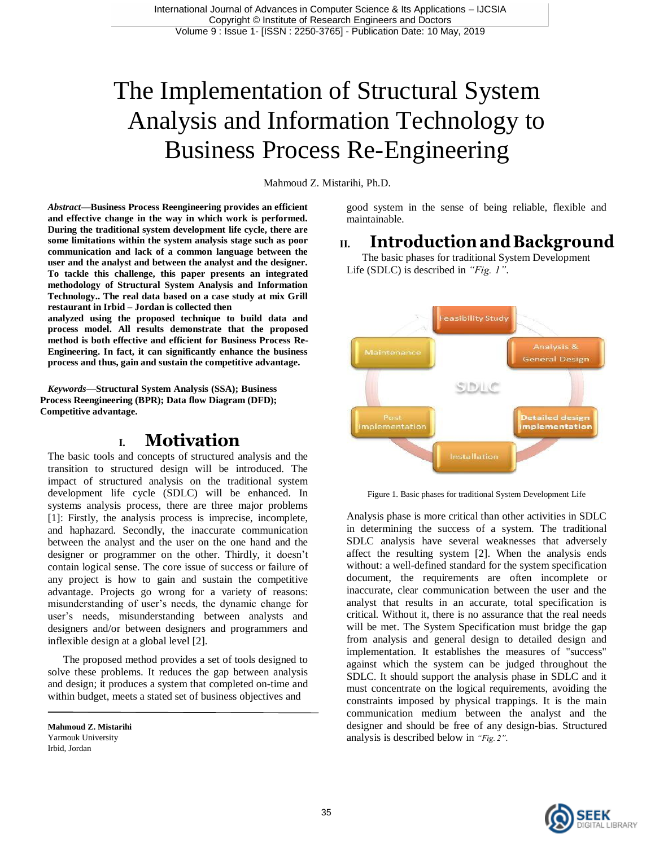# The Implementation of Structural System Analysis and Information Technology to Business Process Re-Engineering

Mahmoud Z. Mistarihi, Ph.D.

*Abstract***—Business Process Reengineering provides an efficient and effective change in the way in which work is performed. During the traditional system development life cycle, there are some limitations within the system analysis stage such as poor communication and lack of a common language between the user and the analyst and between the analyst and the designer. To tackle this challenge, this paper presents an integrated methodology of Structural System Analysis and Information Technology.. The real data based on a case study at mix Grill restaurant in Irbid – Jordan is collected then**

**analyzed using the proposed technique to build data and process model. All results demonstrate that the proposed method is both effective and efficient for Business Process Re-Engineering. In fact, it can significantly enhance the business process and thus, gain and sustain the competitive advantage.**

*Keywords—***Structural System Analysis (SSA); Business Process Reengineering (BPR); Data flow Diagram (DFD); Competitive advantage.**

# **I. Motivation**

The basic tools and concepts of structured analysis and the transition to structured design will be introduced. The impact of structured analysis on the traditional system development life cycle (SDLC) will be enhanced. In systems analysis process, there are three major problems [1]: Firstly, the analysis process is imprecise, incomplete, and haphazard. Secondly, the inaccurate communication between the analyst and the user on the one hand and the designer or programmer on the other. Thirdly, it doesn't contain logical sense. The core issue of success or failure of any project is how to gain and sustain the competitive advantage. Projects go wrong for a variety of reasons: misunderstanding of user's needs, the dynamic change for user's needs, misunderstanding between analysts and designers and/or between designers and programmers and inflexible design at a global level [2].

The proposed method provides a set of tools designed to solve these problems. It reduces the gap between analysis and design; it produces a system that completed on-time and within budget, meets a stated set of business objectives and

**Mahmoud Z. Mistarihi**  Yarmouk University Irbid, Jordan

good system in the sense of being reliable, flexible and maintainable.

# **II. IntroductionandBackground**

The basic phases for traditional System Development Life (SDLC) is described in *"Fig. 1"*.



Figure 1. Basic phases for traditional System Development Life

Analysis phase is more critical than other activities in SDLC in determining the success of a system. The traditional SDLC analysis have several weaknesses that adversely affect the resulting system [2]. When the analysis ends without: a well-defined standard for the system specification document, the requirements are often incomplete or inaccurate, clear communication between the user and the analyst that results in an accurate, total specification is critical. Without it, there is no assurance that the real needs will be met. The System Specification must bridge the gap from analysis and general design to detailed design and implementation. It establishes the measures of "success" against which the system can be judged throughout the SDLC. It should support the analysis phase in SDLC and it must concentrate on the logical requirements, avoiding the constraints imposed by physical trappings. It is the main communication medium between the analyst and the designer and should be free of any design-bias. Structured analysis is described below in *"Fig. 2"*.

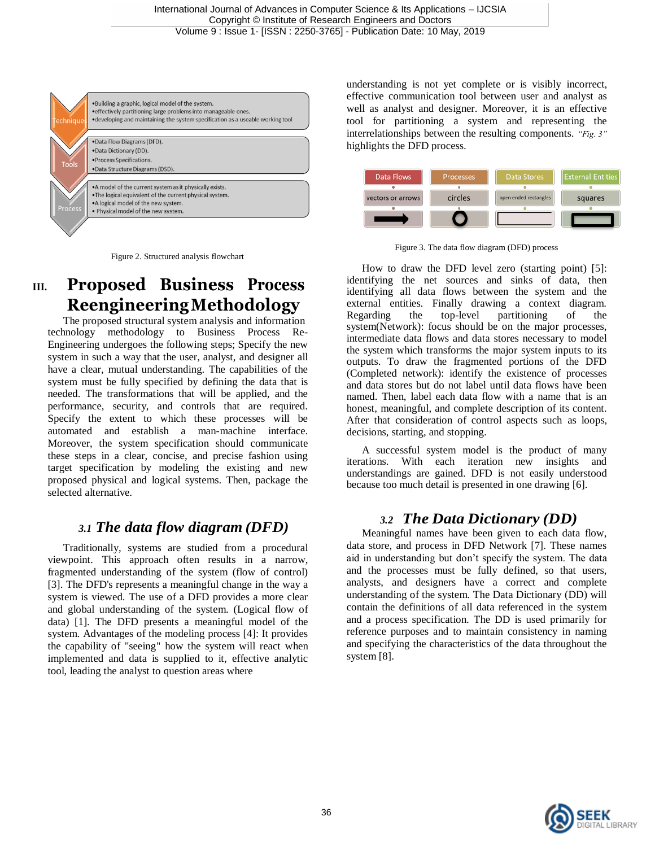



# **III. Proposed Business Process ReengineeringMethodology**

The proposed structural system analysis and information technology methodology to Business Process Re-Engineering undergoes the following steps; Specify the new system in such a way that the user, analyst, and designer all have a clear, mutual understanding. The capabilities of the system must be fully specified by defining the data that is needed. The transformations that will be applied, and the performance, security, and controls that are required. Specify the extent to which these processes will be automated and establish a man-machine interface. Moreover, the system specification should communicate these steps in a clear, concise, and precise fashion using target specification by modeling the existing and new proposed physical and logical systems. Then, package the selected alternative.

### *3.1 The data flow diagram (DFD)*

Traditionally, systems are studied from a procedural viewpoint. This approach often results in a narrow, fragmented understanding of the system (flow of control) [3]. The DFD's represents a meaningful change in the way a system is viewed. The use of a DFD provides a more clear and global understanding of the system. (Logical flow of data) [1]. The DFD presents a meaningful model of the system. Advantages of the modeling process [4]: It provides the capability of "seeing" how the system will react when implemented and data is supplied to it, effective analytic tool, leading the analyst to question areas where

understanding is not yet complete or is visibly incorrect, effective communication tool between user and analyst as well as analyst and designer. Moreover, it is an effective tool for partitioning a system and representing the interrelationships between the resulting components. *"Fig. 3"*  highlights the DFD process.



Figure 3. The data flow diagram (DFD) process

How to draw the DFD level zero (starting point) [5]: identifying the net sources and sinks of data, then identifying all data flows between the system and the external entities. Finally drawing a context diagram. Regarding the top-level partitioning of the system(Network): focus should be on the major processes, intermediate data flows and data stores necessary to model the system which transforms the major system inputs to its outputs. To draw the fragmented portions of the DFD (Completed network): identify the existence of processes and data stores but do not label until data flows have been named. Then, label each data flow with a name that is an honest, meaningful, and complete description of its content. After that consideration of control aspects such as loops, decisions, starting, and stopping.

A successful system model is the product of many iterations. With each iteration new insights and understandings are gained. DFD is not easily understood because too much detail is presented in one drawing [6].

### *3.2 The Data Dictionary (DD)*

Meaningful names have been given to each data flow, data store, and process in DFD Network [7]. These names aid in understanding but don't specify the system. The data and the processes must be fully defined, so that users, analysts, and designers have a correct and complete understanding of the system. The Data Dictionary (DD) will contain the definitions of all data referenced in the system and a process specification. The DD is used primarily for reference purposes and to maintain consistency in naming and specifying the characteristics of the data throughout the system [8].

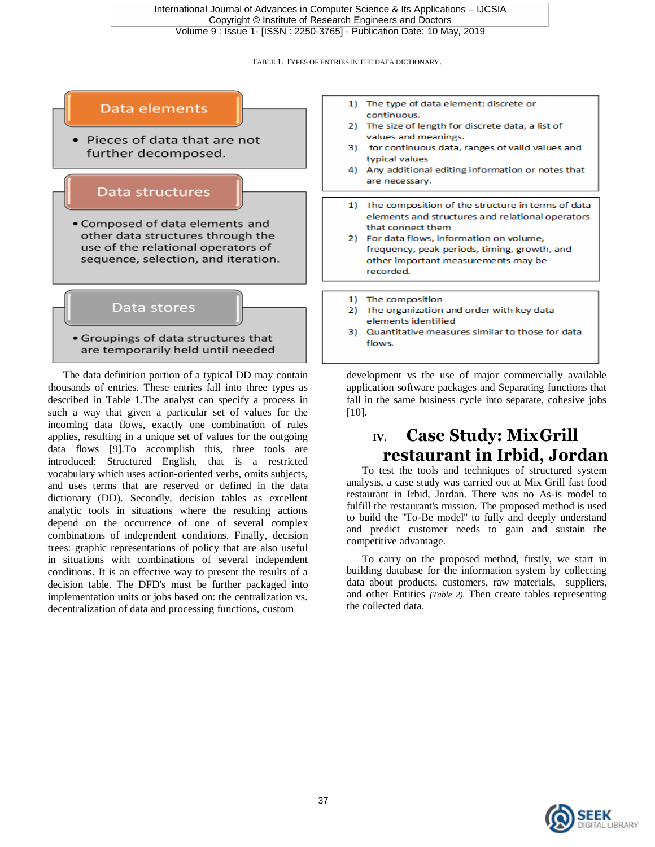TABLE 1. TYPES OF ENTRIES IN THE DATA DICTIONARY.



The data definition portion of a typical DD may contain thousands of entries. These entries fall into three types as described in Table 1.The analyst can specify a process in such a way that given a particular set of values for the incoming data flows, exactly one combination of rules applies, resulting in a unique set of values for the outgoing data flows [9].To accomplish this, three tools are introduced: Structured English, that is a restricted vocabulary which uses action-oriented verbs, omits subjects, and uses terms that are reserved or defined in the data dictionary (DD). Secondly, decision tables as excellent analytic tools in situations where the resulting actions depend on the occurrence of one of several complex combinations of independent conditions. Finally, decision trees: graphic representations of policy that are also useful in situations with combinations of several independent conditions. It is an effective way to present the results of a decision table. The DFD's must be further packaged into implementation units or jobs based on: the centralization vs. decentralization of data and processing functions, custom

development vs the use of major commercially available application software packages and Separating functions that fall in the same business cycle into separate, cohesive jobs [10].

# **IV. Case Study: MixGrill restaurant in Irbid, Jordan**

To test the tools and techniques of structured system analysis, a case study was carried out at Mix Grill fast food restaurant in Irbid, Jordan. There was no As-is model to fulfill the restaurant's mission. The proposed method is used to build the ''To-Be model'' to fully and deeply understand and predict customer needs to gain and sustain the competitive advantage.

To carry on the proposed method, firstly, we start in building database for the information system by collecting data about products, customers, raw materials, suppliers, and other Entities *(Table 2).* Then create tables representing the collected data.

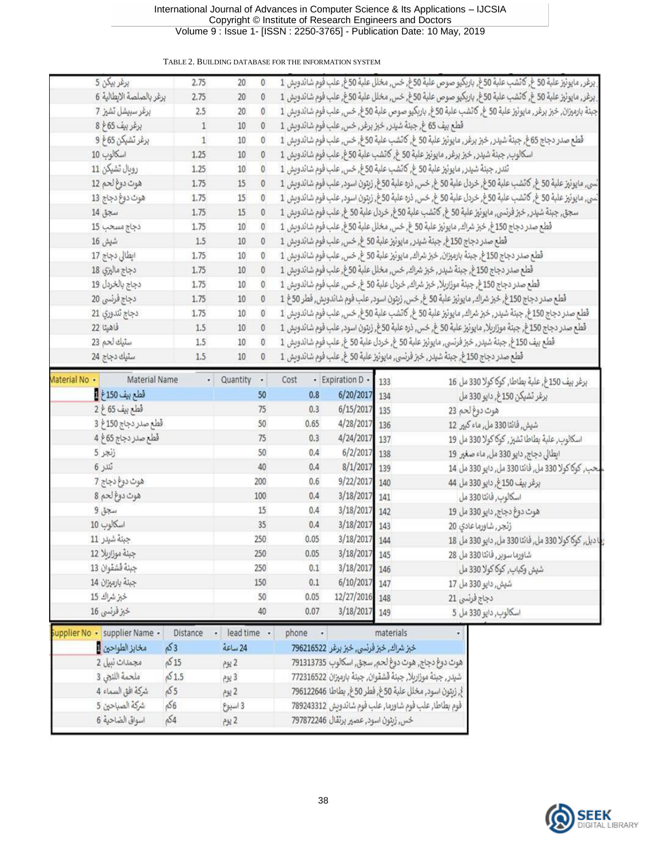#### TABLE 2. BUILDING DATABASE FOR THE INFORMATION SYSTEM

|               | برغربيكن 5                     | 2.75         | 20          | 0   |                                                                                              |                                       |           |           | . برغر, مايونيز علبة 50 غ, كانشب علبة 50غ, باربكيو صوص علبة 50غ, خس, مخلل علبة 50غ, علب فوم شائدويش 1    |  |  |  |
|---------------|--------------------------------|--------------|-------------|-----|----------------------------------------------------------------------------------------------|---------------------------------------|-----------|-----------|----------------------------------------------------------------------------------------------------------|--|--|--|
|               | برغر بالصلصة الايطالية 6       | 2.75         | 20          | 0   |                                                                                              |                                       |           |           | ِ برغر, مايونيز علبة 50 غ, كانشب علبة 50غ, باربكيو صوص علبة 50غ, خس, مخلل علبة 50غ, علب فوم شاندويش 1    |  |  |  |
|               | برغر سبيشل تشيز 7              | 2.5          | 20          |     |                                                                                              |                                       |           |           | جبنة بارميزان, خبز برغر, مايونيز علبة 50 غ, گاڻشب علبة 50غ, باربكيو صوص علبة 50غ, خس, علب فوم شائدويش 1  |  |  |  |
|               | برغر بيف 65غ 8<br>$\mathbf{1}$ |              |             | 0   | قطع بيف 65 غ, جبنة شيدر, خبز برغر, خس, علب فوم شاندويش 1                                     |                                       |           |           |                                                                                                          |  |  |  |
|               | برغر تشبكن 65غ 9               | $\mathbf{1}$ | 10          | 0   |                                                                                              |                                       |           |           | قطع صدر دجاج 65غ, جبنة شيدر, خبز برغر, مايونيز علبة 50 غ, كانشب علبة 50غ, خس, علب فوم شائدويش 1          |  |  |  |
|               | اسكالوب 10                     | 1.25         | 10          |     |                                                                                              |                                       |           |           | اسكالوب, جبنة شيدر, خبز برغر, مايونيز علبة 50 غ, كانشب علبة 50غ, علب فوم شائدويش 1                       |  |  |  |
|               | روبال تشيكن 11                 | 1.25         | 10          | 0   | تَندر, جبنة شيدر, مايونيز علبة 50 غ, كاتشب علبة 50غ, خس, علب فوم شاندويش 1                   |                                       |           |           |                                                                                                          |  |  |  |
|               | هوت دوغ لحم 12                 | 1.75         | 15          | 0   |                                                                                              |                                       |           |           | نْسي, مايونيز علية 50 غ, كاتشب علية 50غ, خردل علية 50 غ, خس, ذره علية 50غ, زيتون اسود, علب فوم شائدويش 1 |  |  |  |
|               | هوت دوغ دجاج 13                | 1.75         | 15          | 0   |                                                                                              |                                       |           |           | نْسي, مايونيز علبة 50 غ, كانشب علبة 50غ, خردل علبة 50 غ, خس, ذره علبة 50غ, زبتون اسود, علب فوم شائدوبش 1 |  |  |  |
|               | سجق 14                         | 1.75         | 15          | 0   |                                                                                              |                                       |           |           | سجق, جبنة شيدر, خبرُ فرنسي, مايونيرُ علبة 50 غ. كانشب علبة 50 غ. خردل علبة 50 غ. علب فوم شائدوبش 1       |  |  |  |
|               | دجاج مسحب 15                   | 1.75         | 10          | 0   |                                                                                              |                                       |           |           | فَطع صدر دجاج 150 غ. خبر شراك, مايونيز علبة 50 غ. خس, مخلل علبة 50غ. علب فوم شاندوبش 1                   |  |  |  |
|               | شيش 16                         | 1.5          | $10$        | 0   | قطع صدر دجاج 150 غ, جبنة شيدر, مايونيز علبة 50 غ, خس, علب فوم شاندويش 1                      |                                       |           |           |                                                                                                          |  |  |  |
|               | ایطالی دجاج 17                 | 1.75         | 10          | 0   |                                                                                              |                                       |           |           | قَطَع صدر دجاج 150 غ. جبنةَ بارميزان، حَبرْ شراك، مايونيز علبةَ 50 غ. حَس, علب فوم شائدوبش 1             |  |  |  |
|               | دجاج ماليزي 18                 | 1.75         | 10          | 0   |                                                                                              |                                       |           |           | قُطع صدر دجاج 150 غ, جبنة شيدر, خبرُ شراك, خس, مخلل علية 50 غ, علب فوم شائدويش 1                         |  |  |  |
|               | دجاج بالخردل 19                | 1.75         | 10          | 0   |                                                                                              |                                       |           |           | قطع صدر دجاج 150 غ, جبنة موزاربلا, خبز شراك, خردل علبة 50 غ, خس, علب فوم شاندويش 1                       |  |  |  |
|               | دجاج فرئسي 20                  | 1.75         | 10          | 0   |                                                                                              |                                       |           |           | قطع صدر دجاج 150غ, خبرُ شراك, مايونيرُ علية 50 غ, خس, زيتون اسود, علب فوم شائدويش, فطر 50غ 1             |  |  |  |
|               | دجاج تندوري 21                 | 1.75         | 10          | 0   |                                                                                              |                                       |           |           | قطع صدر دجاج 150غ, جبنة شيدر, خبز شراك, مايونيز علبة 50 غ, كاتشب علبة 50غ, خس, علب فوم شائدويش 1         |  |  |  |
|               | فاهيتا 22                      | 1.5          | 10          | 0   |                                                                                              |                                       |           |           | قَطَع صدر دجاج 150 غ. جبنة موزاربلا, مايونيز علبة 50 غ. خس, ذره علبة 50 غ. زيتون اسود, علب فوم شائدويش 1 |  |  |  |
|               | ستيك لحم 23                    | 1.5          | 10          | 0   |                                                                                              |                                       |           |           | قطع بيف 150 غ. جبنة شيئر , خبرُ فرنسي, مايونيرُ علبة 50 غ. خردل علبة 50 غ. علب فوم شاندويش 1             |  |  |  |
|               | سٽيك دجاج 24                   | 1.5          | $10$        | 0   |                                                                                              |                                       |           |           | قطع صدر دجاج 150غ, جبنة شيدر, خبز فرنسي, مايونيز علبة 50 غ, علب فوم شاندويش 1                            |  |  |  |
|               |                                |              |             |     |                                                                                              |                                       |           |           |                                                                                                          |  |  |  |
| Material No - | Material Name                  |              | Quantity -  |     | Cost                                                                                         | • Expiration D •                      | 133       |           | برغر بيف 150 غ, علبة بطاطا, كوكا كولا 330 مل 16                                                          |  |  |  |
|               | قطع بيف 150 غ <mark>1</mark>   |              |             | 50  | 0.8                                                                                          | 6/20/2017 134                         |           |           | برغر تشبكن 150 غ, دايو 330 مل                                                                            |  |  |  |
|               | قطع بيف 65 غ 2                 |              |             | 75  | 0.3                                                                                          | 6/15/2017 135                         |           |           | هوت دوغ لحم 23                                                                                           |  |  |  |
|               | قطع صدر دجاج 150غ 3            |              |             | 50  | 0.65                                                                                         | 4/28/2017                             | 136       |           | شيش, فائتا 330 مل, ماء كبير 12                                                                           |  |  |  |
|               | قطع صدر دجاج 65غ 4             |              |             | 75  | 0.3                                                                                          | 4/24/2017 137                         |           |           | اسكالوب, علية بطاطا تشيز, كوكا كولا 330 مل 19                                                            |  |  |  |
|               | زنجر 5                         |              |             | 50  | 0.4                                                                                          | 6/2/2017                              | 138       |           | ايطالى دجاج, دايو 330 مل, ماء صغير 19                                                                    |  |  |  |
|               | تندر 6                         |              |             | 40  | 0.4                                                                                          | 8/1/2017                              | 139       |           | ـحب, كوكا كولا 330 مل, فائتا 330 مل, دايو 330 مل 14                                                      |  |  |  |
|               | هوت دوغ دجاج 7                 |              |             | 200 | 0.6                                                                                          | 9/22/2017                             | 140       |           | برغر بيف 150 غ, دايو 330 مل 44                                                                           |  |  |  |
|               | هوت دوغ لحم 8                  |              |             | 100 | 0.4                                                                                          | 3/18/2017                             | 141       |           | اسكالوب, فائتا 330 مل                                                                                    |  |  |  |
|               | سجق 9                          |              |             | 15  | 0,4                                                                                          | 3/18/2017 142                         |           |           | هوت دوغ دجاج, دايو 330 مل 19                                                                             |  |  |  |
|               | اسكالوب 10                     |              |             | 35  | 0.4                                                                                          | 3/18/2017 143                         |           |           | زنجر, شاورما عادي 20                                                                                     |  |  |  |
|               | جبنة شيدر 11                   |              |             | 250 | 0.05                                                                                         | 3/18/2017 144                         |           |           | ﺎ ﺩﺑﻞ, ﻛﻮﻛﺎ ﻛﻮﻻ 330 ﻣﻞ, ﻓﺎﻧﺘﺎ 330 ﻣﻞ, ﺩﺍﻳﻮ 330 ﻣﻞ 18                                                     |  |  |  |
|               | جبنة موزاربلا 12               |              |             | 250 | 0.05                                                                                         | 3/18/2017 145                         |           |           | شاورماسوبر, فائتا 330 مل 28                                                                              |  |  |  |
|               | جبنة قشقوان 13                 |              |             | 250 | 0.1                                                                                          | 3/18/2017 146                         |           |           | شپش وکباب, کوکا کولا 330 مل                                                                              |  |  |  |
|               | جبنة بارميزان 14               |              |             | 150 | 0.1                                                                                          | 6/10/2017 147                         |           |           | شيش, دايو 330 مل 17                                                                                      |  |  |  |
|               | خبز شراك 15                    |              |             | 50  | 0.05                                                                                         | 12/27/2016 148                        |           |           | دجاج فرنسی 21                                                                                            |  |  |  |
|               | خبز فرنسی 16                   |              |             | 40  | 0.07                                                                                         | 3/18/2017 149                         |           |           | اسكالوب, دايو 330 مل 5                                                                                   |  |  |  |
|               | Supplier No - supplier Name -  | Distance     | lead time - |     | phone                                                                                        |                                       | materials | $\bullet$ |                                                                                                          |  |  |  |
|               | مخابز الطواحين <mark>ا</mark>  | 53           | 24 ساعة     |     |                                                                                              |                                       |           |           |                                                                                                          |  |  |  |
|               | مجمدات نبيل 2                  | 515          | 2922        |     | خبز شراك, خبز فرنسي, خبز برغر 796216522<br>هوت دوغ دجاج, هوت دوغ لحم, سجق, اسكالوب 791313735 |                                       |           |           |                                                                                                          |  |  |  |
|               | ملحمة اللنجي 3<br>51.5         |              | $P_{22}$ 3  |     | شيدر , جبنة موزاربلا, جبنة قشقوان, جبنة بارميزان 772316522                                   |                                       |           |           |                                                                                                          |  |  |  |
|               | 55<br>شركة افق السماء 4        |              | 2 يوم       |     | غ, زيتون اسود, مخلل علبة 50غ, فطر 50غ, بطاطا 796122646                                       |                                       |           |           |                                                                                                          |  |  |  |
|               | شركة الصباحين 5<br>56          |              |             |     | فَوم بطاطا, علب فَوم شاورما, علب فَوم شائدويش 789243312                                      |                                       |           |           |                                                                                                          |  |  |  |
|               | 54<br>اسواق الضاحية 6          |              |             |     |                                                                                              |                                       |           |           |                                                                                                          |  |  |  |
|               |                                |              |             |     |                                                                                              | خس, زيتون اسود, عصير برتقال 797872246 |           |           |                                                                                                          |  |  |  |

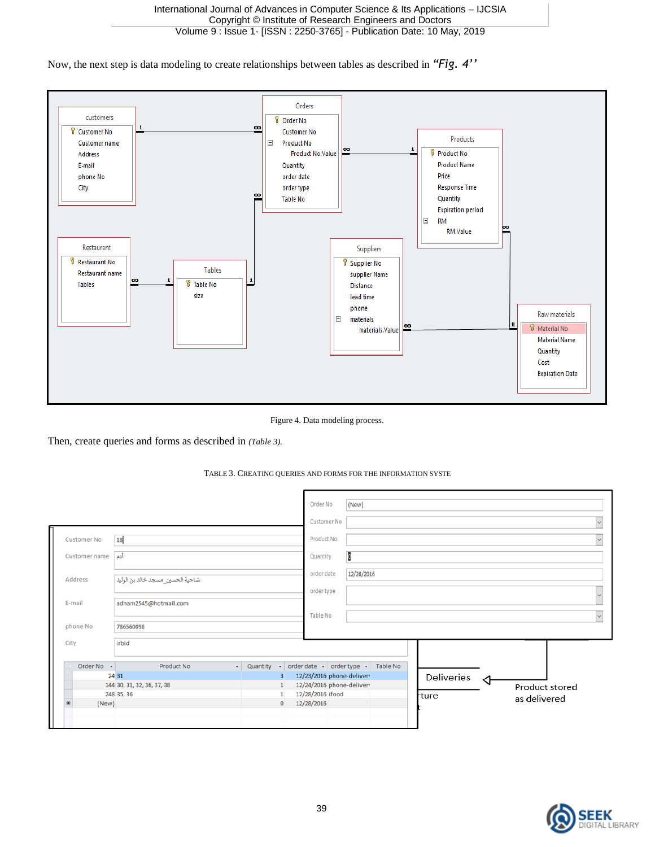Now, the next step is data modeling to create relationships between tables as described in *"Fig. 4''*



Figure 4. Data modeling process.

Then, create queries and forms as described in *(Table 3).*

#### TABLE 3. CREATING QUERIES AND FORMS FOR THE INFORMATION SYSTE

|                                             |                                                 | Order No                                             | (New)      |            |     |                |  |
|---------------------------------------------|-------------------------------------------------|------------------------------------------------------|------------|------------|-----|----------------|--|
|                                             |                                                 | <b>Customer No</b>                                   |            |            |     |                |  |
| 18<br><b>Customer No</b>                    |                                                 | Product No                                           |            |            |     |                |  |
| أدم<br>Customer name                        |                                                 |                                                      |            |            |     |                |  |
| Address<br>ضاحية الحسين_مسجد خالد بن الوليد |                                                 | order date                                           | 12/28/2016 |            |     |                |  |
|                                             |                                                 | order type                                           |            |            |     |                |  |
| adham2545@hotmail.com<br>E-mail             |                                                 |                                                      |            |            |     |                |  |
|                                             |                                                 | Table No                                             |            |            |     |                |  |
| phone No<br>786560098                       |                                                 |                                                      |            |            |     |                |  |
| irbid<br>City                               |                                                 |                                                      |            |            |     |                |  |
|                                             |                                                 |                                                      |            |            |     |                |  |
| Order No -<br><b>Product No</b>             | • Quantity • order date • order type • Table No |                                                      |            |            |     |                |  |
| 24 31                                       | $\overline{3}$<br>$\mathbf{1}$                  | 12/23/2016 phone-deliver<br>12/24/2016 phone-deliver |            | Deliveries | -⊲⊦ |                |  |
| 144 30, 31, 32, 36, 37, 38<br>248 35, 36    | $\mathbf{1}$                                    | 12/28/2016 ifood                                     |            |            |     | Product stored |  |
| $*$<br>(New)                                | $\overline{0}$                                  | 12/28/2016                                           |            | rture      |     | as delivered   |  |
|                                             |                                                 |                                                      |            |            |     |                |  |
|                                             |                                                 |                                                      |            |            |     |                |  |

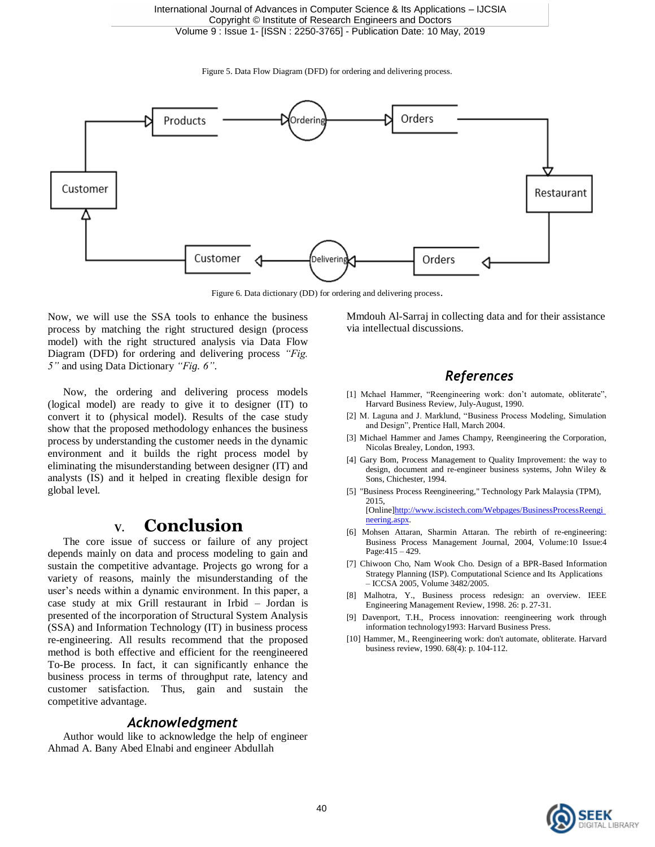Figure 5. Data Flow Diagram (DFD) for ordering and delivering process.



Figure 6. Data dictionary (DD) for ordering and delivering process.

Now, we will use the SSA tools to enhance the business process by matching the right structured design (process model) with the right structured analysis via Data Flow Diagram (DFD) for ordering and delivering process *"Fig. 5"* and using Data Dictionary *"Fig. 6"*.

Now, the ordering and delivering process models (logical model) are ready to give it to designer (IT) to convert it to (physical model). Results of the case study show that the proposed methodology enhances the business process by understanding the customer needs in the dynamic environment and it builds the right process model by eliminating the misunderstanding between designer (IT) and analysts (IS) and it helped in creating flexible design for global level.

## **V. Conclusion**

The core issue of success or failure of any project depends mainly on data and process modeling to gain and sustain the competitive advantage. Projects go wrong for a variety of reasons, mainly the misunderstanding of the user's needs within a dynamic environment. In this paper, a case study at mix Grill restaurant in Irbid – Jordan is presented of the incorporation of Structural System Analysis (SSA) and Information Technology (IT) in business process re-engineering. All results recommend that the proposed method is both effective and efficient for the reengineered To-Be process. In fact, it can significantly enhance the business process in terms of throughput rate, latency and customer satisfaction. Thus, gain and sustain the competitive advantage.

#### *Acknowledgment*

Author would like to acknowledge the help of engineer Ahmad A. Bany Abed Elnabi and engineer Abdullah

Mmdouh Al-Sarraj in collecting data and for their assistance via intellectual discussions.

### *References*

- [1] Mchael Hammer, "Reengineering work: don't automate, obliterate", Harvard Business Review, July-August, 1990.
- [2] M. Laguna and J. Marklund, "Business Process Modeling, Simulation and Design", Prentice Hall, March 2004.
- [3] Michael Hammer and James Champy, Reengineering the Corporation, Nicolas Brealey, London, 1993.
- [4] Gary Bom, Process Management to Quality Improvement: the way to design, document and re-engineer business systems, John Wiley & Sons, Chichester, 1994.
- [5] "Business Process Reengineering," Technology Park Malaysia (TPM), 2015, [Online]http://www.iscistech.com/Webpages/BusinessProcessReengi neering.aspx.
- [6] Mohsen Attaran, Sharmin Attaran. The rebirth of re-engineering: Business Process Management Journal, 2004, Volume:10 Issue:4 Page:415 – 429.
- [7] Chiwoon Cho, Nam Wook Cho. Design of a BPR-Based Information Strategy Planning (ISP). Computational Science and Its Applications – ICCSA 2005, Volume 3482/2005.
- [8] Malhotra, Y., Business process redesign: an overview. IEEE Engineering Management Review, 1998. 26: p. 27-31.
- [9] Davenport, T.H., Process innovation: reengineering work through information technology1993: Harvard Business Press.
- [10] Hammer, M., Reengineering work: don't automate, obliterate. Harvard business review, 1990. 68(4): p. 104-112.